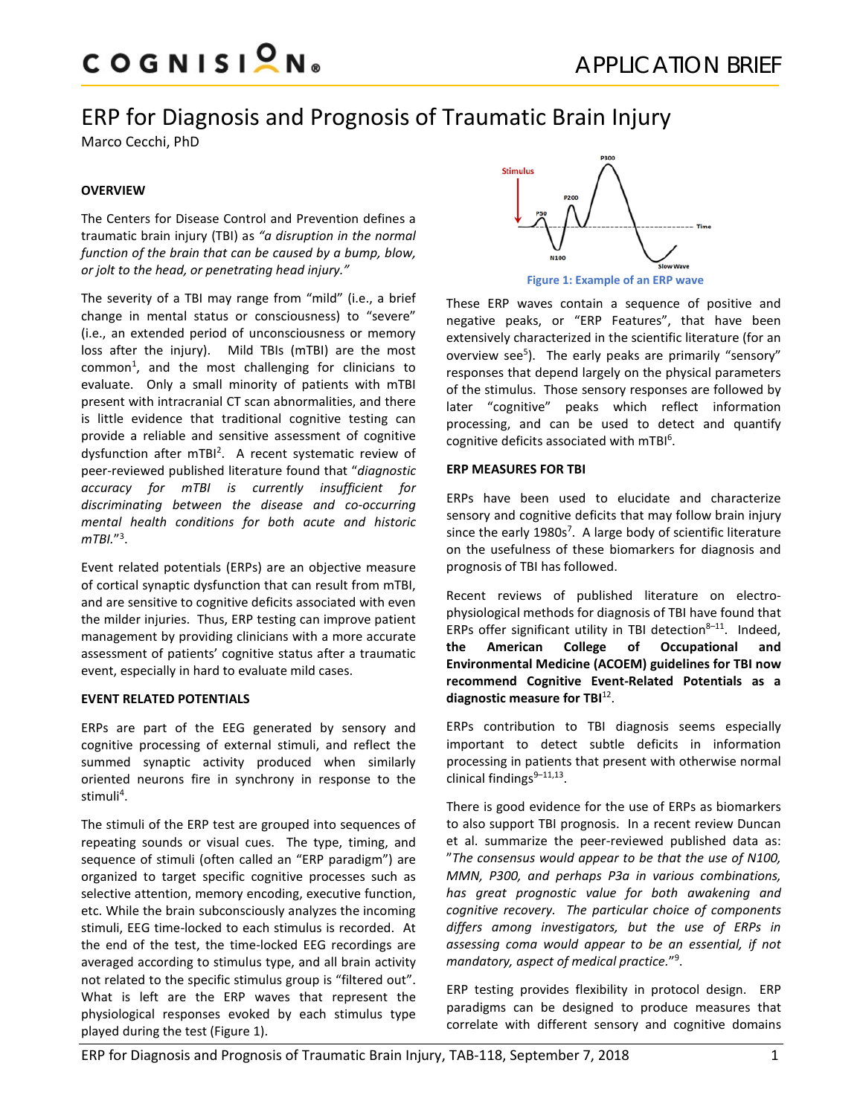# ERP for Diagnosis and Prognosis of Traumatic Brain Injury

Marco Cecchi, PhD

# **OVERVIEW**

The Centers for Disease Control and Prevention defines a traumatic brain injury (TBI) as *"a disruption in the normal function of the brain that can be caused by a bump, blow, or jolt to the head, or penetrating head injury."*

The severity of a TBI may range from "mild" (i.e., a brief change in mental status or consciousness) to "severe" (i.e., an extended period of unconsciousness or memory loss after the injury). Mild TBIs (mTBI) are the most common<sup>1</sup>, and the most challenging for clinicians to evaluate. Only a small minority of patients with mTBI present with intracranial CT scan abnormalities, and there is little evidence that traditional cognitive testing can provide a reliable and sensitive assessment of cognitive dysfunction after mTBI<sup>2</sup>. A recent systematic review of peer-reviewed published literature found that "*diagnostic accuracy for mTBI is currently insufficient for discriminating between the disease and co-occurring mental health conditions for both acute and historic mTBI.*"3 .

Event related potentials (ERPs) are an objective measure of cortical synaptic dysfunction that can result from mTBI, and are sensitive to cognitive deficits associated with even the milder injuries. Thus, ERP testing can improve patient management by providing clinicians with a more accurate assessment of patients' cognitive status after a traumatic event, especially in hard to evaluate mild cases.

# **EVENT RELATED POTENTIALS**

ERPs are part of the EEG generated by sensory and cognitive processing of external stimuli, and reflect the summed synaptic activity produced when similarly oriented neurons fire in synchrony in response to the stimuli<sup>4</sup>.

The stimuli of the ERP test are grouped into sequences of repeating sounds or visual cues. The type, timing, and sequence of stimuli (often called an "ERP paradigm") are organized to target specific cognitive processes such as selective attention, memory encoding, executive function, etc. While the brain subconsciously analyzes the incoming stimuli, EEG time-locked to each stimulus is recorded. At the end of the test, the time-locked EEG recordings are averaged according to stimulus type, and all brain activity not related to the specific stimulus group is "filtered out". What is left are the ERP waves that represent the physiological responses evoked by each stimulus type played during the test (Figure 1).



These ERP waves contain a sequence of positive and negative peaks, or "ERP Features", that have been extensively characterized in the scientific literature (for an overview see<sup>5</sup>). The early peaks are primarily "sensory" responses that depend largely on the physical parameters of the stimulus. Those sensory responses are followed by later "cognitive" peaks which reflect information processing, and can be used to detect and quantify cognitive deficits associated with mTBI<sup>6</sup>.

## **ERP MEASURES FOR TBI**

ERPs have been used to elucidate and characterize sensory and cognitive deficits that may follow brain injury since the early 1980s<sup>7</sup>. A large body of scientific literature on the usefulness of these biomarkers for diagnosis and prognosis of TBI has followed.

Recent reviews of published literature on electrophysiological methods for diagnosis of TBI have found that ERPs offer significant utility in TBI detection $8-11$ . Indeed, **the American College of Occupational and Environmental Medicine (ACOEM) guidelines for TBI now recommend Cognitive Event-Related Potentials as a diagnostic measure for TBI**12.

ERPs contribution to TBI diagnosis seems especially important to detect subtle deficits in information processing in patients that present with otherwise normal clinical findings $9-11,13$ .

There is good evidence for the use of ERPs as biomarkers to also support TBI prognosis. In a recent review Duncan et al. summarize the peer-reviewed published data as: "*The consensus would appear to be that the use of N100, MMN, P300, and perhaps P3a in various combinations, has great prognostic value for both awakening and cognitive recovery. The particular choice of components differs among investigators, but the use of ERPs in assessing coma would appear to be an essential, if not mandatory, aspect of medical practice.*"9 .

ERP testing provides flexibility in protocol design. ERP paradigms can be designed to produce measures that correlate with different sensory and cognitive domains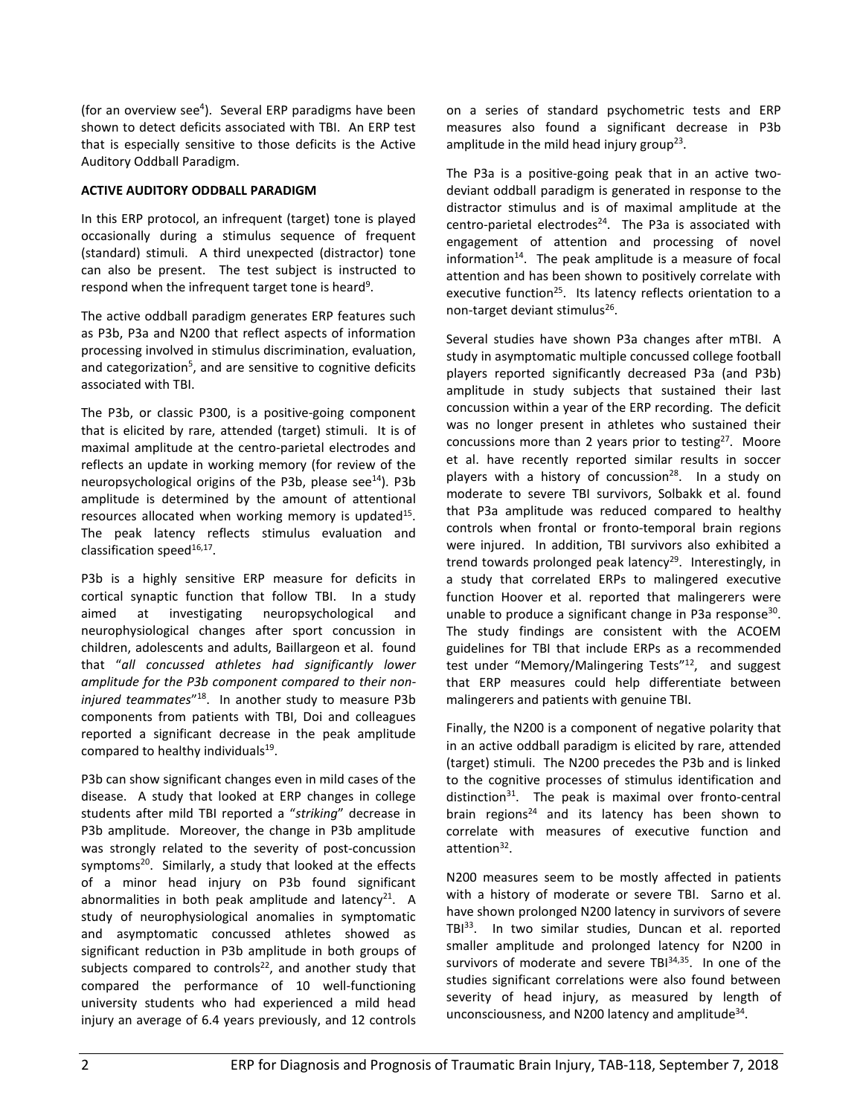(for an overview see<sup>4</sup>). Several ERP paradigms have been shown to detect deficits associated with TBI. An ERP test that is especially sensitive to those deficits is the Active Auditory Oddball Paradigm.

## **ACTIVE AUDITORY ODDBALL PARADIGM**

In this ERP protocol, an infrequent (target) tone is played occasionally during a stimulus sequence of frequent (standard) stimuli. A third unexpected (distractor) tone can also be present. The test subject is instructed to respond when the infrequent target tone is heard<sup>9</sup>.

The active oddball paradigm generates ERP features such as P3b, P3a and N200 that reflect aspects of information processing involved in stimulus discrimination, evaluation, and categorization<sup>5</sup>, and are sensitive to cognitive deficits associated with TBI.

The P3b, or classic P300, is a positive-going component that is elicited by rare, attended (target) stimuli. It is of maximal amplitude at the centro-parietal electrodes and reflects an update in working memory (for review of the neuropsychological origins of the P3b, please see<sup>14</sup>). P3b amplitude is determined by the amount of attentional resources allocated when working memory is updated<sup>15</sup>. The peak latency reflects stimulus evaluation and classification speed $16,17$ .

P3b is a highly sensitive ERP measure for deficits in cortical synaptic function that follow TBI. In a study aimed at investigating neuropsychological and neurophysiological changes after sport concussion in children, adolescents and adults, Baillargeon et al. found that "*all concussed athletes had significantly lower amplitude for the P3b component compared to their noninjured teammates*"18. In another study to measure P3b components from patients with TBI, Doi and colleagues reported a significant decrease in the peak amplitude compared to healthy individuals $19$ .

P3b can show significant changes even in mild cases of the disease. A study that looked at ERP changes in college students after mild TBI reported a "*striking*" decrease in P3b amplitude. Moreover, the change in P3b amplitude was strongly related to the severity of post-concussion symptoms $^{20}$ . Similarly, a study that looked at the effects of a minor head injury on P3b found significant abnormalities in both peak amplitude and latency<sup>21</sup>. A study of neurophysiological anomalies in symptomatic and asymptomatic concussed athletes showed as significant reduction in P3b amplitude in both groups of subjects compared to controls $22$ , and another study that compared the performance of 10 well-functioning university students who had experienced a mild head injury an average of 6.4 years previously, and 12 controls

on a series of standard psychometric tests and ERP measures also found a significant decrease in P3b amplitude in the mild head injury group<sup>23</sup>.

The P3a is a positive-going peak that in an active twodeviant oddball paradigm is generated in response to the distractor stimulus and is of maximal amplitude at the centro-parietal electrodes $^{24}$ . The P3a is associated with engagement of attention and processing of novel information $14$ . The peak amplitude is a measure of focal attention and has been shown to positively correlate with executive function<sup>25</sup>. Its latency reflects orientation to a non-target deviant stimulus<sup>26</sup>.

Several studies have shown P3a changes after mTBI. A study in asymptomatic multiple concussed college football players reported significantly decreased P3a (and P3b) amplitude in study subjects that sustained their last concussion within a year of the ERP recording. The deficit was no longer present in athletes who sustained their concussions more than 2 years prior to testing $27$ . Moore et al. have recently reported similar results in soccer players with a history of concussion<sup>28</sup>. In a study on moderate to severe TBI survivors, Solbakk et al. found that P3a amplitude was reduced compared to healthy controls when frontal or fronto-temporal brain regions were injured. In addition, TBI survivors also exhibited a trend towards prolonged peak latency<sup>29</sup>. Interestingly, in a study that correlated ERPs to malingered executive function Hoover et al. reported that malingerers were unable to produce a significant change in P3a response $30$ . The study findings are consistent with the ACOEM guidelines for TBI that include ERPs as a recommended test under "Memory/Malingering Tests"<sup>12</sup>, and suggest that ERP measures could help differentiate between malingerers and patients with genuine TBI.

Finally, the N200 is a component of negative polarity that in an active oddball paradigm is elicited by rare, attended (target) stimuli. The N200 precedes the P3b and is linked to the cognitive processes of stimulus identification and distinction $31$ . The peak is maximal over fronto-central brain regions<sup>24</sup> and its latency has been shown to correlate with measures of executive function and attention<sup>32</sup>.

N200 measures seem to be mostly affected in patients with a history of moderate or severe TBI. Sarno et al. have shown prolonged N200 latency in survivors of severe TBI<sup>33</sup>. In two similar studies, Duncan et al. reported smaller amplitude and prolonged latency for N200 in survivors of moderate and severe  $TBI^{34,35}$ . In one of the studies significant correlations were also found between severity of head injury, as measured by length of unconsciousness, and N200 latency and amplitude<sup>34</sup>.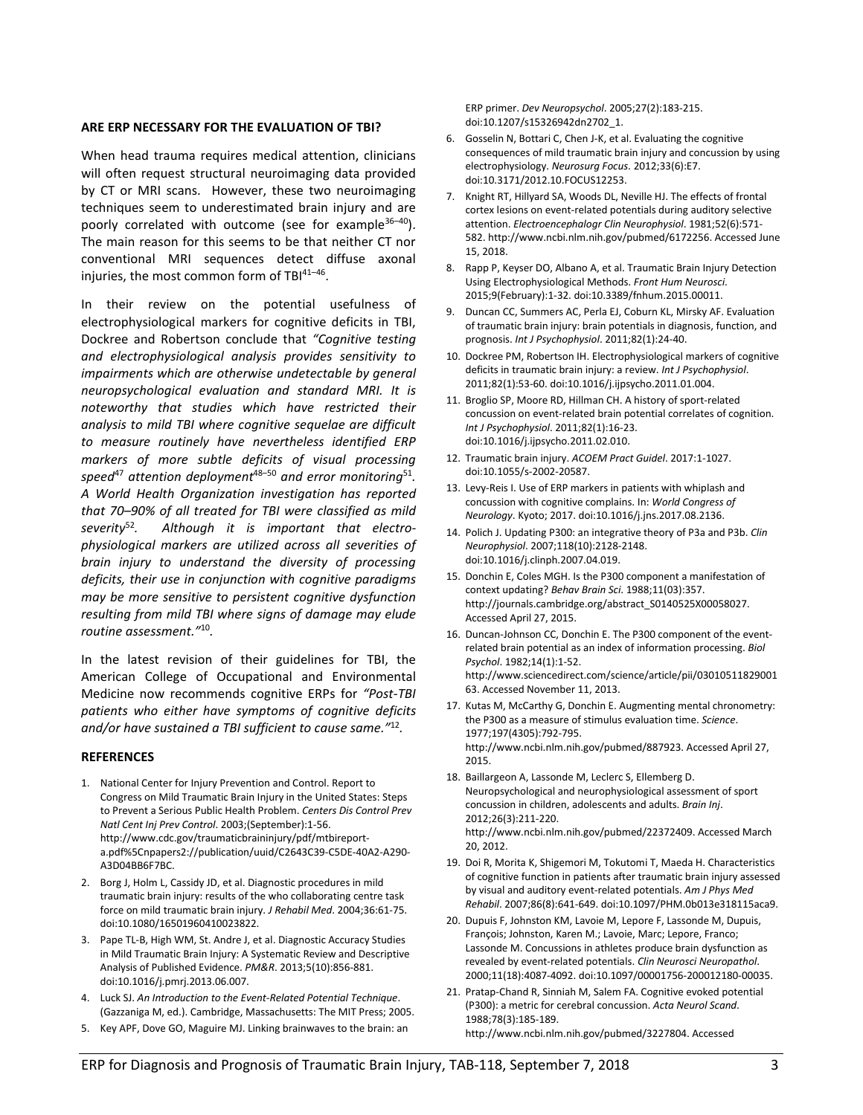### **ARE ERP NECESSARY FOR THE EVALUATION OF TBI?**

When head trauma requires medical attention, clinicians will often request structural neuroimaging data provided by CT or MRI scans. However, these two neuroimaging techniques seem to underestimated brain injury and are poorly correlated with outcome (see for example<sup>36-40</sup>). The main reason for this seems to be that neither CT nor conventional MRI sequences detect diffuse axonal injuries, the most common form of  $TBI^{41-46}$ .

In their review on the potential usefulness of electrophysiological markers for cognitive deficits in TBI, Dockree and Robertson conclude that *"Cognitive testing and electrophysiological analysis provides sensitivity to impairments which are otherwise undetectable by general neuropsychological evaluation and standard MRI. It is noteworthy that studies which have restricted their analysis to mild TBI where cognitive sequelae are difficult to measure routinely have nevertheless identified ERP markers of more subtle deficits of visual processing speed*<sup>47</sup> *attention deployment*48–50 *and error monitoring*<sup>51</sup>*. A World Health Organization investigation has reported that 70–90% of all treated for TBI were classified as mild severity*52*. Although it is important that electrophysiological markers are utilized across all severities of brain injury to understand the diversity of processing deficits, their use in conjunction with cognitive paradigms may be more sensitive to persistent cognitive dysfunction resulting from mild TBI where signs of damage may elude routine assessment."*<sup>10</sup>*.*

In the latest revision of their guidelines for TBI, the American College of Occupational and Environmental Medicine now recommends cognitive ERPs for *"Post-TBI patients who either have symptoms of cognitive deficits and/or have sustained a TBI sufficient to cause same."*<sup>12</sup>*.*

#### **REFERENCES**

- 1. National Center for Injury Prevention and Control. Report to Congress on Mild Traumatic Brain Injury in the United States: Steps to Prevent a Serious Public Health Problem. *Centers Dis Control Prev Natl Cent Inj Prev Control*. 2003;(September):1-56. http://www.cdc.gov/traumaticbraininjury/pdf/mtbireporta.pdf%5Cnpapers2://publication/uuid/C2643C39-C5DE-40A2-A290- A3D04BB6F7BC.
- 2. Borg J, Holm L, Cassidy JD, et al. Diagnostic procedures in mild traumatic brain injury: results of the who collaborating centre task force on mild traumatic brain injury. *J Rehabil Med*. 2004;36:61-75. doi:10.1080/16501960410023822.
- 3. Pape TL-B, High WM, St. Andre J, et al. Diagnostic Accuracy Studies in Mild Traumatic Brain Injury: A Systematic Review and Descriptive Analysis of Published Evidence. *PM&R*. 2013;5(10):856-881. doi:10.1016/j.pmrj.2013.06.007.
- 4. Luck SJ. *An Introduction to the Event-Related Potential Technique*. (Gazzaniga M, ed.). Cambridge, Massachusetts: The MIT Press; 2005.
- 5. Key APF, Dove GO, Maguire MJ. Linking brainwaves to the brain: an

ERP primer. *Dev Neuropsychol*. 2005;27(2):183-215. doi:10.1207/s15326942dn2702\_1.

- 6. Gosselin N, Bottari C, Chen J-K, et al. Evaluating the cognitive consequences of mild traumatic brain injury and concussion by using electrophysiology. *Neurosurg Focus*. 2012;33(6):E7. doi:10.3171/2012.10.FOCUS12253.
- 7. Knight RT, Hillyard SA, Woods DL, Neville HJ. The effects of frontal cortex lesions on event-related potentials during auditory selective attention. *Electroencephalogr Clin Neurophysiol*. 1981;52(6):571- 582. http://www.ncbi.nlm.nih.gov/pubmed/6172256. Accessed June 15, 2018.
- 8. Rapp P, Keyser DO, Albano A, et al. Traumatic Brain Injury Detection Using Electrophysiological Methods. *Front Hum Neurosci*. 2015;9(February):1-32. doi:10.3389/fnhum.2015.00011.
- 9. Duncan CC, Summers AC, Perla EJ, Coburn KL, Mirsky AF. Evaluation of traumatic brain injury: brain potentials in diagnosis, function, and prognosis. *Int J Psychophysiol*. 2011;82(1):24-40.
- 10. Dockree PM, Robertson IH. Electrophysiological markers of cognitive deficits in traumatic brain injury: a review. *Int J Psychophysiol*. 2011;82(1):53-60. doi:10.1016/j.ijpsycho.2011.01.004.
- 11. Broglio SP, Moore RD, Hillman CH. A history of sport-related concussion on event-related brain potential correlates of cognition. *Int J Psychophysiol*. 2011;82(1):16-23. doi:10.1016/j.ijpsycho.2011.02.010.
- 12. Traumatic brain injury. *ACOEM Pract Guidel*. 2017:1-1027. doi:10.1055/s-2002-20587.
- 13. Levy-Reis I. Use of ERP markers in patients with whiplash and concussion with cognitive complains. In: *World Congress of Neurology*. Kyoto; 2017. doi:10.1016/j.jns.2017.08.2136.
- 14. Polich J. Updating P300: an integrative theory of P3a and P3b. *Clin Neurophysiol*. 2007;118(10):2128-2148. doi:10.1016/j.clinph.2007.04.019.
- 15. Donchin E, Coles MGH. Is the P300 component a manifestation of context updating? *Behav Brain Sci*. 1988;11(03):357. http://journals.cambridge.org/abstract\_S0140525X00058027. Accessed April 27, 2015.
- 16. Duncan-Johnson CC, Donchin E. The P300 component of the eventrelated brain potential as an index of information processing. *Biol Psychol*. 1982;14(1):1-52. http://www.sciencedirect.com/science/article/pii/03010511829001 63. Accessed November 11, 2013.
- 17. Kutas M, McCarthy G, Donchin E. Augmenting mental chronometry: the P300 as a measure of stimulus evaluation time. *Science*. 1977;197(4305):792-795. http://www.ncbi.nlm.nih.gov/pubmed/887923. Accessed April 27, 2015.
- 18. Baillargeon A, Lassonde M, Leclerc S, Ellemberg D. Neuropsychological and neurophysiological assessment of sport concussion in children, adolescents and adults. *Brain Inj*. 2012;26(3):211-220. http://www.ncbi.nlm.nih.gov/pubmed/22372409. Accessed March 20, 2012.
- 19. Doi R, Morita K, Shigemori M, Tokutomi T, Maeda H. Characteristics of cognitive function in patients after traumatic brain injury assessed by visual and auditory event-related potentials. *Am J Phys Med Rehabil*. 2007;86(8):641-649. doi:10.1097/PHM.0b013e318115aca9.
- 20. Dupuis F, Johnston KM, Lavoie M, Lepore F, Lassonde M, Dupuis, François; Johnston, Karen M.; Lavoie, Marc; Lepore, Franco; Lassonde M. Concussions in athletes produce brain dysfunction as revealed by event-related potentials. *Clin Neurosci Neuropathol*. 2000;11(18):4087-4092. doi:10.1097/00001756-200012180-00035.
- 21. Pratap-Chand R, Sinniah M, Salem FA. Cognitive evoked potential (P300): a metric for cerebral concussion. *Acta Neurol Scand*. 1988;78(3):185-189. http://www.ncbi.nlm.nih.gov/pubmed/3227804. Accessed